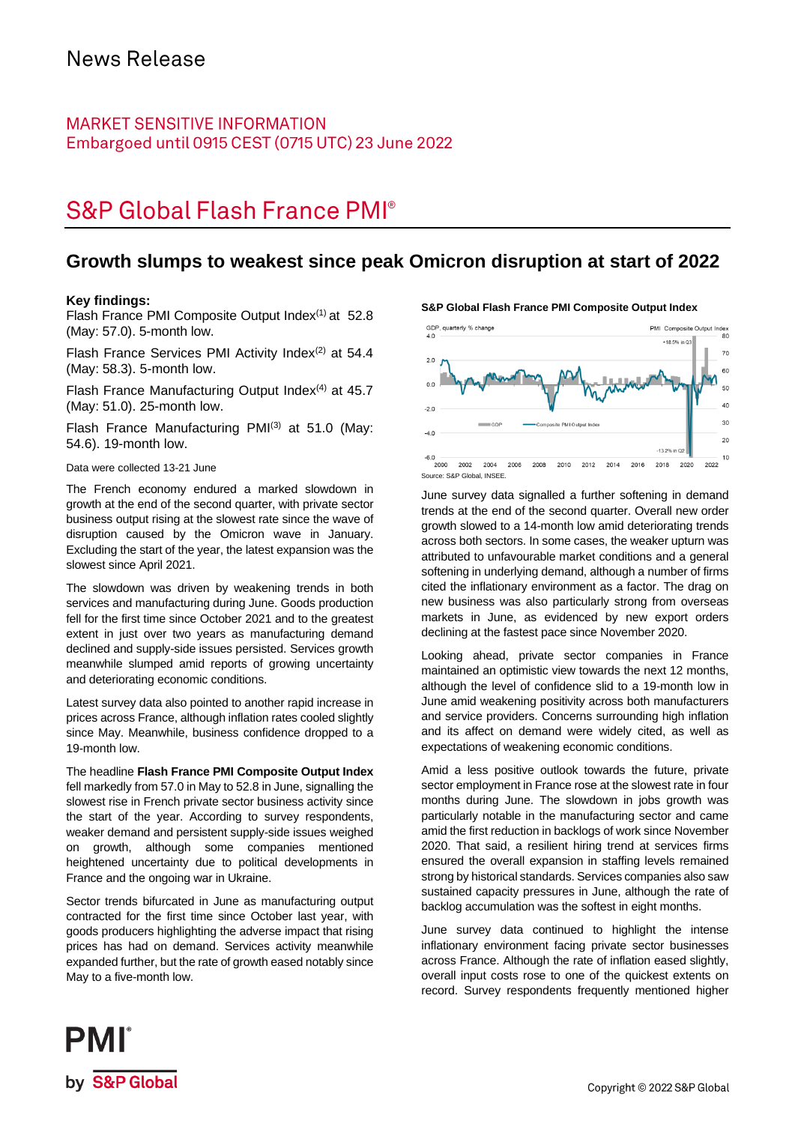### **MARKET SENSITIVE INFORMATION** Embargoed until 0915 CEST (0715 UTC) 23 June 2022

# **S&P Global Flash France PMI®**

### **Growth slumps to weakest since peak Omicron disruption at start of 2022**

#### **Key findings:**

Flash France PMI Composite Output Index<sup>(1)</sup> at 52.8 (May: 57.0). 5-month low.

Flash France Services PMI Activity Index $(2)$  at 54.4 (May: 58.3). 5-month low.

Flash France Manufacturing Output Index $(4)$  at 45.7 (May: 51.0). 25-month low.

Flash France Manufacturing PMI $(3)$  at 51.0 (May: 54.6). 19-month low.

Data were collected 13-21 June

The French economy endured a marked slowdown in growth at the end of the second quarter, with private sector business output rising at the slowest rate since the wave of disruption caused by the Omicron wave in January. Excluding the start of the year, the latest expansion was the slowest since April 2021.

The slowdown was driven by weakening trends in both services and manufacturing during June. Goods production fell for the first time since October 2021 and to the greatest extent in just over two years as manufacturing demand declined and supply-side issues persisted. Services growth meanwhile slumped amid reports of growing uncertainty and deteriorating economic conditions.

Latest survey data also pointed to another rapid increase in prices across France, although inflation rates cooled slightly since May. Meanwhile, business confidence dropped to a 19-month low.

The headline **Flash France PMI Composite Output Index** fell markedly from 57.0 in May to 52.8 in June, signalling the slowest rise in French private sector business activity since the start of the year. According to survey respondents, weaker demand and persistent supply-side issues weighed on growth, although some companies mentioned heightened uncertainty due to political developments in France and the ongoing war in Ukraine.

Sector trends bifurcated in June as manufacturing output contracted for the first time since October last year, with goods producers highlighting the adverse impact that rising prices has had on demand. Services activity meanwhile expanded further, but the rate of growth eased notably since May to a five-month low.





June survey data signalled a further softening in demand trends at the end of the second quarter. Overall new order growth slowed to a 14-month low amid deteriorating trends across both sectors. In some cases, the weaker upturn was attributed to unfavourable market conditions and a general

softening in underlying demand, although a number of firms cited the inflationary environment as a factor. The drag on new business was also particularly strong from overseas markets in June, as evidenced by new export orders declining at the fastest pace since November 2020.

Looking ahead, private sector companies in France maintained an optimistic view towards the next 12 months, although the level of confidence slid to a 19-month low in June amid weakening positivity across both manufacturers and service providers. Concerns surrounding high inflation and its affect on demand were widely cited, as well as expectations of weakening economic conditions.

Amid a less positive outlook towards the future, private sector employment in France rose at the slowest rate in four months during June. The slowdown in jobs growth was particularly notable in the manufacturing sector and came amid the first reduction in backlogs of work since November 2020. That said, a resilient hiring trend at services firms ensured the overall expansion in staffing levels remained strong by historical standards. Services companies also saw sustained capacity pressures in June, although the rate of backlog accumulation was the softest in eight months.

June survey data continued to highlight the intense inflationary environment facing private sector businesses across France. Although the rate of inflation eased slightly, overall input costs rose to one of the quickest extents on record. Survey respondents frequently mentioned higher

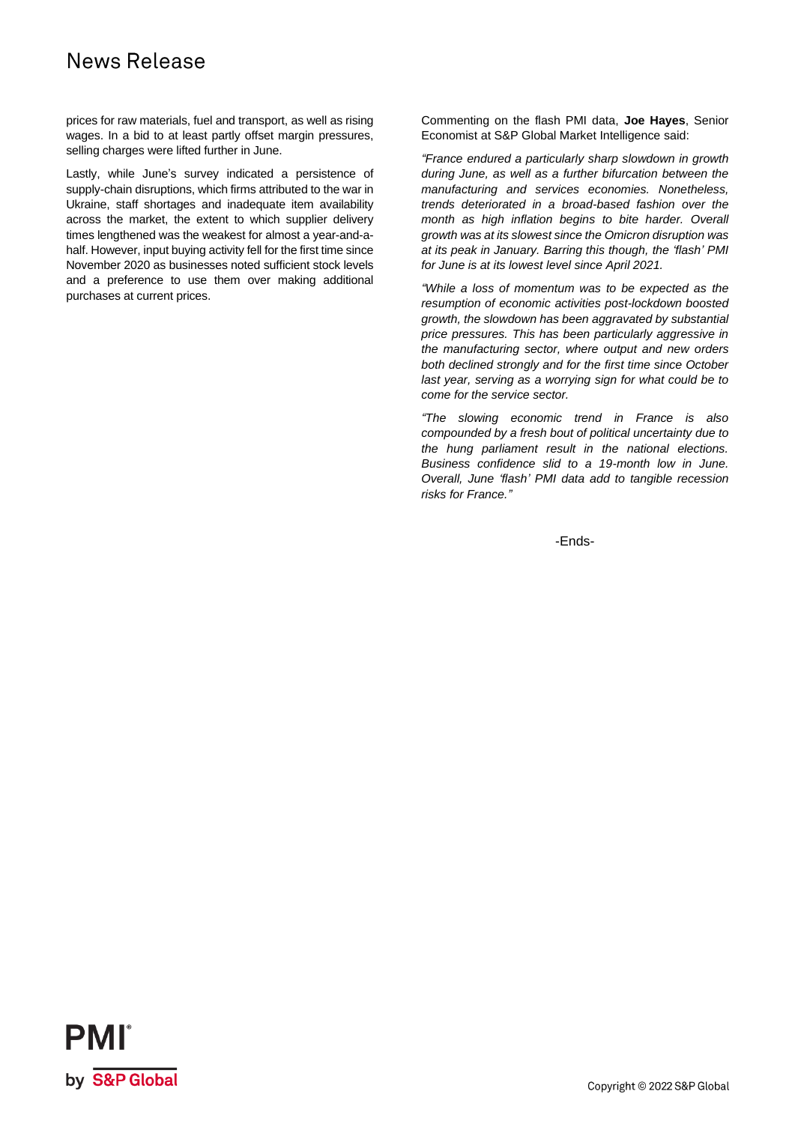## News Release

prices for raw materials, fuel and transport, as well as rising wages. In a bid to at least partly offset margin pressures, selling charges were lifted further in June.

Lastly, while June's survey indicated a persistence of supply-chain disruptions, which firms attributed to the war in Ukraine, staff shortages and inadequate item availability across the market, the extent to which supplier delivery times lengthened was the weakest for almost a year-and-ahalf. However, input buying activity fell for the first time since November 2020 as businesses noted sufficient stock levels and a preference to use them over making additional purchases at current prices.

Commenting on the flash PMI data, **Joe Hayes**, Senior Economist at S&P Global Market Intelligence said:

*"France endured a particularly sharp slowdown in growth during June, as well as a further bifurcation between the manufacturing and services economies. Nonetheless, trends deteriorated in a broad-based fashion over the month as high inflation begins to bite harder. Overall growth was at its slowest since the Omicron disruption was at its peak in January. Barring this though, the 'flash' PMI for June is at its lowest level since April 2021.*

*"While a loss of momentum was to be expected as the resumption of economic activities post-lockdown boosted growth, the slowdown has been aggravated by substantial price pressures. This has been particularly aggressive in the manufacturing sector, where output and new orders both declined strongly and for the first time since October last year, serving as a worrying sign for what could be to come for the service sector.*

*"The slowing economic trend in France is also compounded by a fresh bout of political uncertainty due to the hung parliament result in the national elections. Business confidence slid to a 19-month low in June. Overall, June 'flash' PMI data add to tangible recession risks for France."*

-Ends-